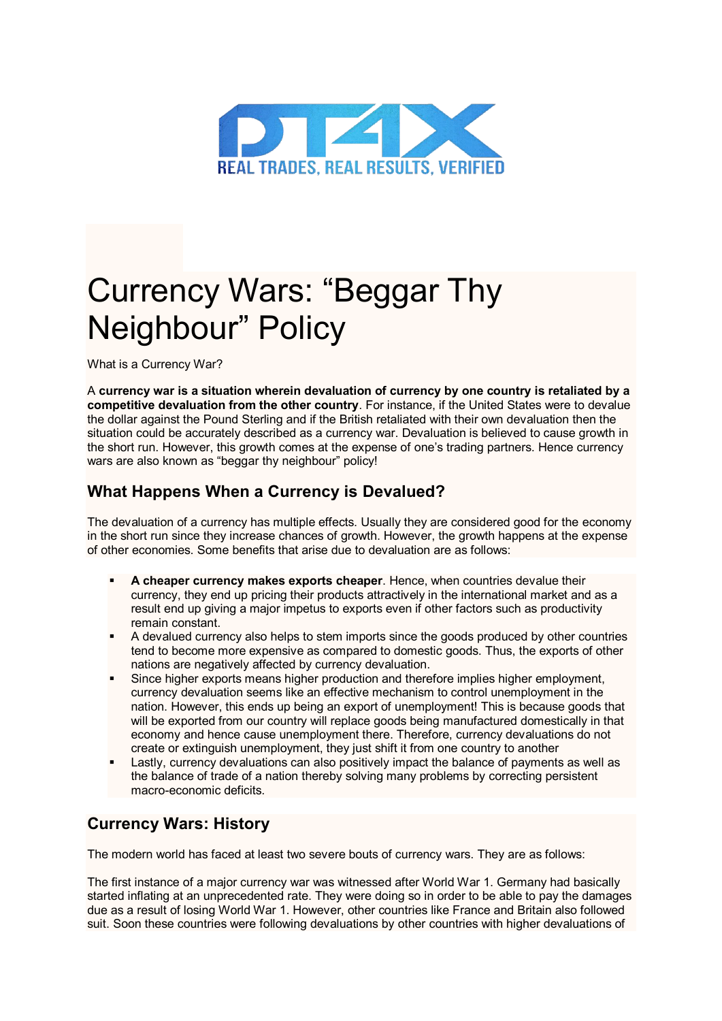

## Currency Wars: "Beggar Thy Neighbour" Policy

What is a Currency War?

A **currency war is a situation wherein devaluation of currency by one country is retaliated by a competitive devaluation from the other country**. For instance, if the United States were to devalue the dollar against the Pound Sterling and if the British retaliated with their own devaluation then the situation could be accurately described as a currency war. Devaluation is believed to cause growth in the short run. However, this growth comes at the expense of one's trading partners. Hence currency wars are also known as "beggar thy neighbour" policy!

## **What Happens When a Currency is Devalued?**

The devaluation of a currency has multiple effects. Usually they are considered good for the economy in the short run since they increase chances of growth. However, the growth happens at the expense of other economies. Some benefits that arise due to devaluation are as follows:

- **A cheaper currency makes exports cheaper**. Hence, when countries devalue their currency, they end up pricing their products attractively in the international market and as a result end up giving a major impetus to exports even if other factors such as productivity remain constant.
- A devalued currency also helps to stem imports since the goods produced by other countries tend to become more expensive as compared to domestic goods. Thus, the exports of other nations are negatively affected by currency devaluation.
- Since higher exports means higher production and therefore implies higher employment, currency devaluation seems like an effective mechanism to control unemployment in the nation. However, this ends up being an export of unemployment! This is because goods that will be exported from our country will replace goods being manufactured domestically in that economy and hence cause unemployment there. Therefore, currency devaluations do not create or extinguish unemployment, they just shift it from one country to another
- Lastly, currency devaluations can also positively impact the balance of payments as well as the balance of trade of a nation thereby solving many problems by correcting persistent macro-economic deficits.

## **Currency Wars: History**

The modern world has faced at least two severe bouts of currency wars. They are as follows:

The first instance of a major currency war was witnessed after World War 1. Germany had basically started inflating at an unprecedented rate. They were doing so in order to be able to pay the damages due as a result of losing World War 1. However, other countries like France and Britain also followed suit. Soon these countries were following devaluations by other countries with higher devaluations of